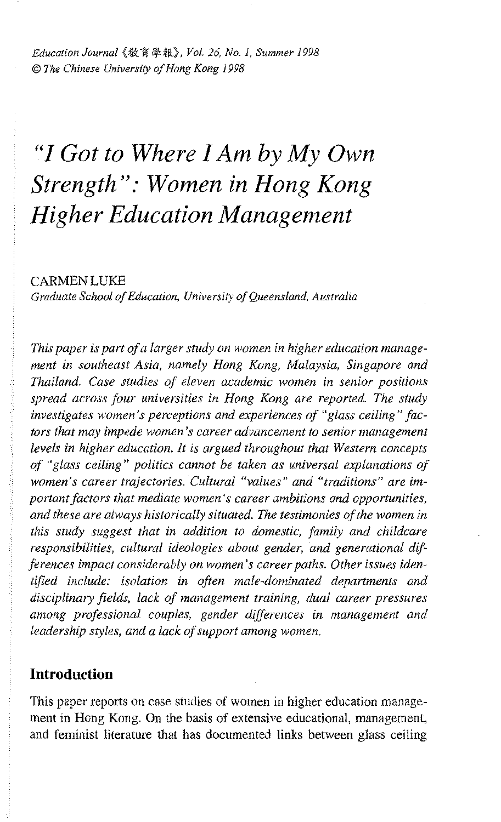*Education Journal* {J.jj:jif !Jb!il}, *Vol. 26, No. 1, Summer 1998 ©The Chinese University of Hong Kong 1998* 

# *"I Got to Where I Am by My Own Strength": Women in Hong Kong Higher Education Management*

### CARMEN LUKE

*Graduate School of Education, University of Queensland, Australia* 

*This paper is part of a larger study on women in higher education management in southeast Asia, namely Hong Kong, Malaysia, Singapore and Thailand. Case studies of eleven academic women in senior positions spread across four universities in Hong Kong are reported. The study investigates women's perceptions and experiences of "glass ceiling" factors that may impede women's career advancement to senior management levels in higher education.* It *is argued throughout that Western concepts of "glass ceiling" politics cannot be taken as universal explanations of women's career trajectories. Cultural "values" and* **<sup>1</sup>** *'traditions" are important factors that mediate women's career ambitions and opportunities, and these are always historically situated The testimonies of the women in this study suggest that in addition to domestic, family and childcare responsibilities, cultural ideologies about gender, and generational differences impact considerably on women's career paths. Other issues identified include: isolation in often male-dominated departments and disciplinary fields, lack of management training, dual career pressures among professional couples, gender differences in management and leadership styles, and a lack of support among women.* 

## **Introduction**

This paper reports on case studies of women in higher education management in Hong Kong. On the basis of extensive educational, management, and feminist literature that has documented links between glass ceiling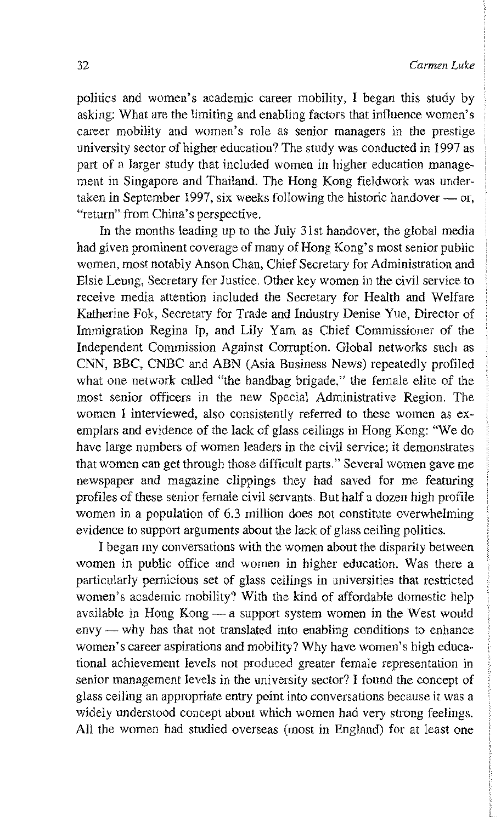politics and women's academic career mobility, I began this study by asking: What are the limiting and enabling factors that influence women's career mobility and women's role as senior managers in the prestige university sector of higher education? The study was conducted in 1997 as part of a larger study that included women in higher education management in Singapore and Thailand. The Hong Kong fieldwork was undertaken in September 1997, six weeks following the historic handover  $-$  or, "return" from China's perspective.

In the months leading up to the July 31st handover, the global media had given prominent coverage of many of Hong Kong's most senior public women, most notably Anson Chan, Chief Secretary for Administration and Elsie Leung, Secretary for Justice. Other key women in the civil service to receive media attention included the Secretary for Health and Welfare Katherine Fok, Secretary for Trade and Industry Denise Yue, Director of Immigration Regina Ip, and Lily Yam as Chief Commissioner of the Independent Commission Against Corruption. Global networks such as CNN, BBC, CNBC and ABN (Asia Business News) repeatedly profiled what one network called "the handbag brigade," the female elite of the most senior officers in the new Special Administrative Region. The women I interviewed, also consistently referred to these women as exemplars and evidence of the lack of glass ceilings in Hong Kong: "We do have large numbers of women leaders in the civil service; it demonstrates that women can get through those difficult parts." Several women gave me newspaper and magazine clippings they had saved for me featuring profiles of these senior female civil servants. But half a dozen high profile women in a population of 6.3 million does not constitute overwhelming evidence to support arguments about the lack of glass ceiling politics.

I began my conversations with the women about the disparity between women in public office and women in higher education. Was there a particularly pernicious set of glass ceilings in universities that restricted women's academic mobility? With the kind of affordable domestic help available in Hong Kong  $-$  a support system women in the West would envy - why has that not translated into enabling conditions to enhance women's career aspirations and mobility? Why have women's high educational achievement levels not produced greater female representation in senior management levels in the university sector? I found the concept of glass ceiling an appropriate entry point into conversations because it was a widely understood concept about which women had very strong feelings. All the women had studied overseas (most in England) for at least one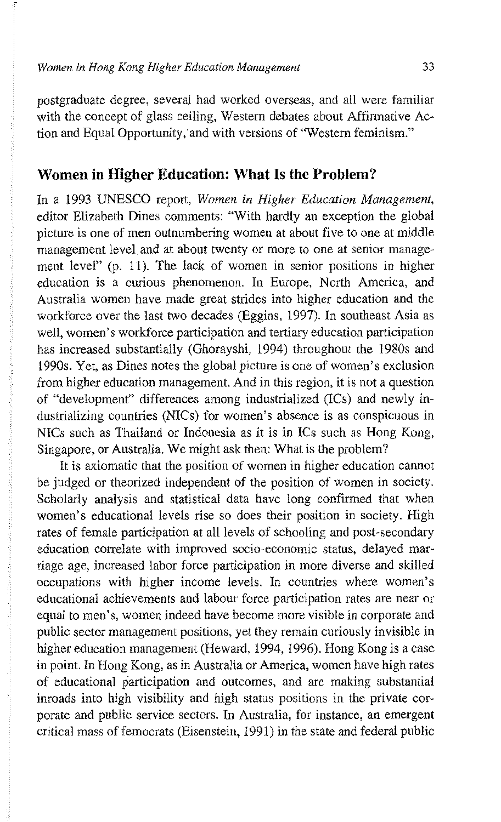postgraduate degree, several had worked overseas, and all were familiar with the concept of glass ceiling, Western debates about Affirmative Action and Equal Opportunity, and with versions of "Western feminism."

## **Women in Higher Education: What Is the Problem?**

In a 1993 UNESCO report, *Women in Higher Education Management,*  editor Elizabeth Dines comments: "With hardly an exception the global picture is one of men outnumbering women at about five to one at middle management level and at about twenty or more to one at senior management level" (p. 11). The lack of women in senior positions in higher education is a curious phenomenon. In Europe, North America, and Australia women have made great strides into higher education and the workforce over the last two decades (Eggins, 1997). In southeast Asia as well, women's workforce participation and tertiary education participation has increased substantially (Ghorayshi, 1994) throughout the 1980s and 1990s. Yet, as Dines notes the global picture is one of women's exclusion from higher education management. And in this region, it is not a question of "development" differences among industrialized (ICs) and newly industrializing countries (NICs) for women's absence is as conspicuous in NICs such as Thailand or Indonesia as it is in !Cs such as Hong Kong, Singapore, or Australia. We might ask then: What is the problem?

It is axiomatic that the position of women in higher education cannot be judged or theorized independent of the position of women in society. Scholarly analysis and statistical data have long confirmed that when women's educational levels rise so does their position in society. High rates of female participation at all levels of schooling and post-secondary education correlate with improved socio-economic status, delayed marriage age, increased labor force participation in more diverse and skilled occupations with higher income levels. In countries where women's educational achievements and labour force participation rates are near or equal to men's, women indeed have become more visible in corporate and public sector management positions, yet they remain curiously invisible in higher education management (Heward, 1994, 1996). Hong Kong is a case in point. In Hong Kong, as in Australia or America, women have high rates of educational participation and outcomes, and are making substantial inroads into high visibility and high status positions in the private corporate and public service sectors. In Australia, for instance, an emergent critical mass of femocrats (Eisenstein, 1991) in the state and federal public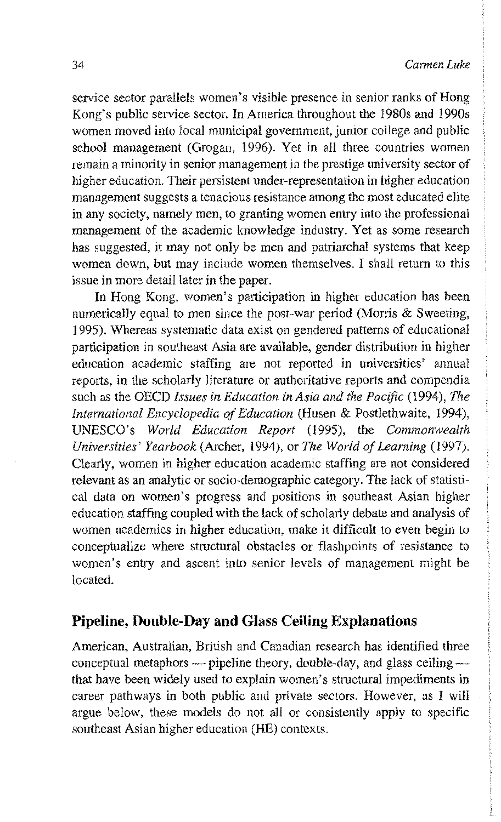service sector parallels women's visible presence in senior ranks of Hong Kong's public service sector. In America throughout the 1980s and 1990s women moved into local municipal government, junior college and public school management (Grogan, 1996). Yet in all three countries women remain a minority in senior management in the prestige university sector of higher education. Their persistent under-representation in higher education management suggests a tenacious resistance among the most educated elite in any society, namely men, to granting women entry into the professional management of the academic knowledge industry. Yet as some research has suggested, it may not only be men and patriarchal systems that keep women down, but may include women themselves. I shall return to this issue in more detail later in the paper.

In Hong Kong, women's participation in higher education has been numerically equal to men since the post-war period (Morris & Sweeting, 1995). Whereas systematic data exist on gendered patterns of educational participation in southeast Asia are available, gender distribution in higher education academic staffing are not reported in universities' annual reports, in the scholarly literature or authoritative reports and compendia such as the OECD *Issues in Education in Asia and the Pacific* (1994), *The International Encyclopedia of Education* (Husen & Postlethwaite, 1994), UNESCO's *World Education Report* (1995), the *Commonwealth Universities' Yearbook* (Archer, 1994), or *The World of Learning* (1997). Clearly, women in higher education academic staffing are not considered relevant as an analytic or socio-demographic category. The lack of statistical data on women's progress and positions in southeast Asian higher education staffing coupled with the Jack of scholarly debate and analysis of women academics in higher education, make it difficult to even begin to conceptualize where structural obstacles or flashpoints of resistance to women's entry and ascent into senior levels of management might be located.

## **Pipeline, Double-Day and Glass Ceiling Explanations**

American, Australian, British and Canadian research has identified three conceptual metaphors  $-$  pipeline theory, double-day, and glass ceiling  $$ that have been widely used to explain women's structural impediments in career pathways in both public and private sectors. However, as I will argue below, these models do not all or consistently apply to specific southeast Asian higher education (HE) contexts.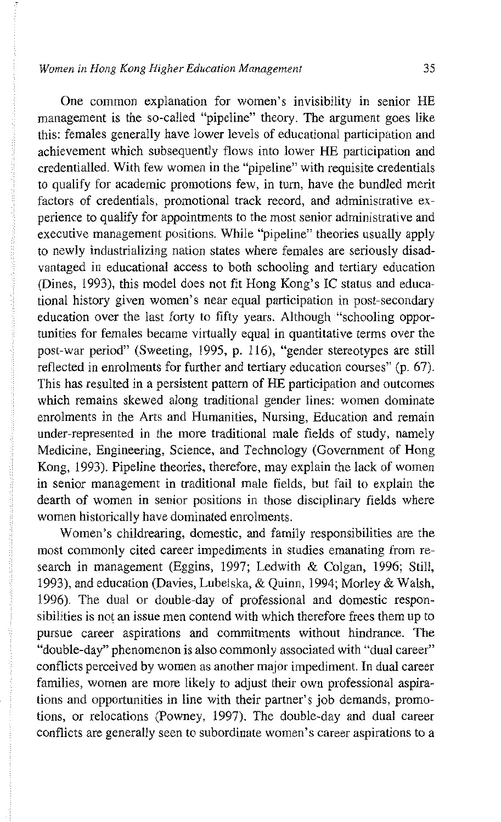One common explanation for women's invisibility in senior HE management is the so-called "pipeline" theory. The argument goes like this: females generally have lower levels of educational participation and achievement which subsequently flows into lower HE participation and credentialled. With few women in the "pipeline" with requisite credentials to qualify for academic promotions few, in turn, have the bundled merit factors of credentials, promotional track record, and administrative experience to qualify for appointments to the most senior administrative and executive management positions. While "pipeline" theories usually apply to newly industrializing nation states where females are seriously disadvantaged in educational access to both schooling and tertiary education (Dines, 1993), this model does not fit Hong Kong's IC status and educational history given women's near equal participation in post-secondary education over the last forty to fifty years. Although "schooling opportunities for females became virtually equal in quantitative terms over the post-war period" (Sweeting, 1995, p. 116), "gender stereotypes are still reflected in enrolments for further and tertiary education courses" (p. 67). This has resulted in a persistent pattern of HE participation and outcomes which remains skewed along traditional gender lines: women dominate enrolments in the Arts and Humanities, Nursing, Education and remain under-represented in the more traditional male fields of study, namely Medicine, Engineering, Science, and Technology (Government of Hong Kong, 1993). Pipeline theories, therefore, may explain the lack of women in senior management in traditional male fields, but fail to explain the dearth of women in senior positions in those disciplinary fields where women historically have dominated enrolments.

Women's childrearing, domestic, and family responsibilities are the most commonly cited career impediments in studies emanating from research in management (Eggins, 1997; Ledwith & Colgan, 1996; Still, 1993), and education (Davies, Lubelska, & Quinn, 1994; Morley & Walsh, 1996). The dual or double-day of professional and domestic responsibilities is not an issue men contend with which therefore frees them up to pursue career aspirations and commitments without hindrance. The "double-day" phenomenon is also commonly associated with "dual career" conflicts perceived by women as another major impediment. In dual career families, women are more likely to adjust their own professional aspirations and opportunities in line with their partner's job demands, promotions, or relocations (Powney, 1997). The double-day and dual career conflicts are generally seen to subordinate women's career aspirations to a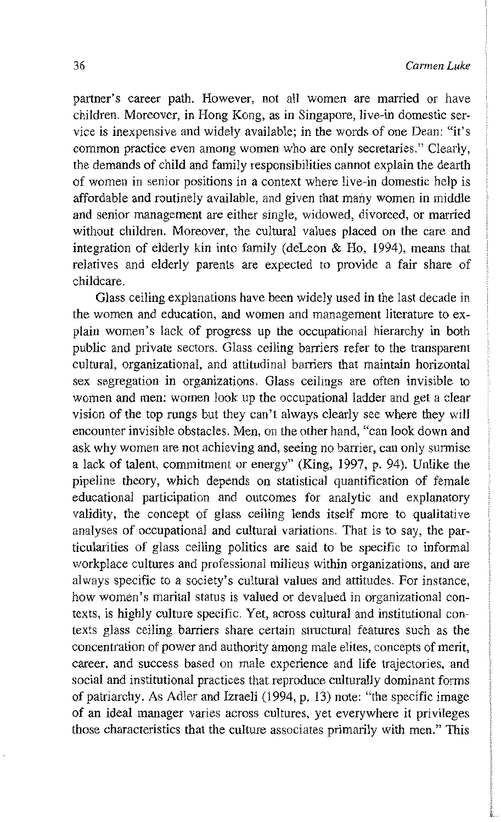partner's career path. However, not all women are married or have children. Moreover, in Hong Kong, as in Singapore, live-in domestic service is inexpensive and widely available; in the words of one Dean: "it's common practice even among women who are only secretaries." Clearly, the demands of child and family responsibilities cannot explain the dearth of women in senior positions in a context where Jive-in domestic help is affordable and routinely available, and given that many women in middle and senior management are either single, widowed, divorced, or married without children. Moreover, the cultural values placed on the care and integration of elderly kin into family (deLeon & Ho, 1994), means that relatives and elderly parents are expected to provide a fair share of childcare.

Glass ceiling explanations have been widely used in the last decade in the women and education, and women and management literature to explain women's Jack of progress up the occupational hierarchy in both public and private sectors. Glass ceiling barriers refer to the transparent cultural, organizational, and attitudinal barriers that maintain horizontal sex segregation in organizations. Glass ceilings are often invisible to women and men: women look up the occupational ladder and get a clear vision of the top rungs but they can't always clearly see where they will encounter invisible obstacles. Men, on the other hand, "can look down and ask why women are not achieving and, seeing no barrier, can only surmise a Jack of talent, commitment or energy" (King, 1997, p. 94). Unlike the pipeline theory, which depends on statistical quantification of female educational participation and outcomes for analytic and explanatory validity, the concept of glass ceiling lends itself more to qualitative analyses of occupational and cultural variations. That is to say, the particularities of glass ceiling politics are said to be specific to informal workplace cultures and professional milieus within organizations, and are always specific to a society's cultural values and attitudes. For instance, how women's marital status is valued or devalued in organizational contexts, is highly culture specific. Yet, across cultural and institutional contexts glass ceiling barriers share certain structural features such as the concentration of power and authority among male elites, concepts of merit, career, and success based on male experience and life trajectories, and social and institutional practices that reproduce culturally dominant forms of patriarchy. As Adler and Izraeli (1994, p. 13) note: "the specific image of an ideal manager varies across cultures, yet everywhere it privileges those characteristics that the culture associates primarily with men." This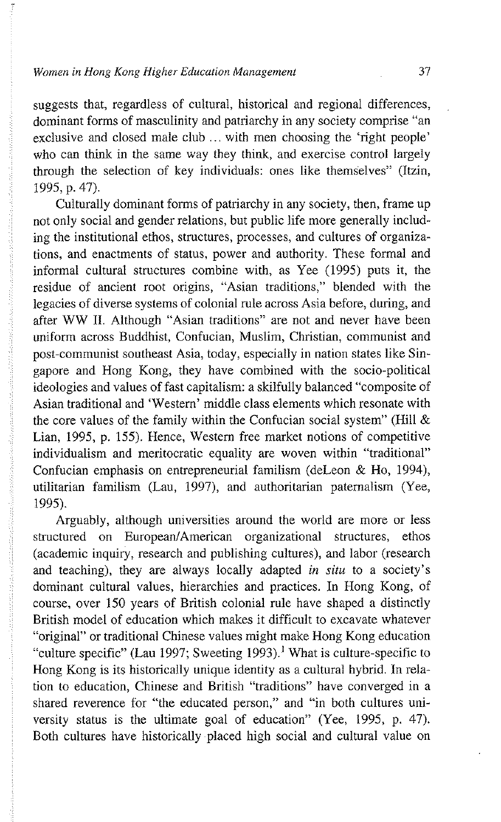suggests that, regardless of cultural, historical and regional differences, dominant forms of masculinity and patriarchy in any society comprise "an exclusive and closed male club ... with men choosing the 'right people' who can think in the same way they think, and exercise control largely through the selection of key individuals: ones like themselves" (ltzin, 1995, p. 47).

Culturally dominant forms of patriarchy in any society, then, frame up not only social and gender relations, but public life more generally including the institutional ethos, structures, processes, and cultures of organizations, and enactments of status, power and authority. These formal and informal cultural structures combine with, as Yee (1995) puts it, the residue of ancient root origins, "Asian traditions," blended with the legacies of diverse systems of colonial rule across Asia before, during, and after WW II. Although "Asian traditions" are not and never have been uniform across Buddhist, Confucian, Muslim, Christian, communist and post-communist southeast Asia, today, especially in nation states like Singapore and Hong Kong, they have combined with the socio-political ideologies and values of fast capitalism: a skilfully balanced "composite of Asian traditional and 'Western' middle class elements which resonate with the core values of the family within the Confucian social system" (Hill  $\&$ Lian, 1995, p. 155). Hence, Western free market notions of competitive individualism and meritocratic equality are woven within "traditional" Confucian emphasis on entrepreneurial familism (deLeon & Ho, 1994), utilitarian familism (Lau, 1997), and authoritarian paternalism (Yee, 1995).

Arguably, although universities around the world are more or less structured on European/American organizational structures, ethos (academic inquiry, research and publishing cultures), and labor (research and teaching), they are always locally adapted *in situ* to a society's dominant cultural values, hierarchies and practices. In Hong Kong, of course, over 150 years of British colonial rule have shaped a distinctly British model of education which makes it difficult to excavate whatever "original" or traditional Chinese values might make Hong Kong education "culture specific" (Lau 1997; Sweeting 1993).<sup>1</sup> What is culture-specific to Hong Kong is its historically unique identity as a cultural hybrid. In relation to education, Chinese and British "traditions" have converged in a shared reverence for "the educated person," and "in both cultures university status is the ultimate goal of education" (Yee, 1995, p. 47). Both cultures have historically placed high social and cultural value on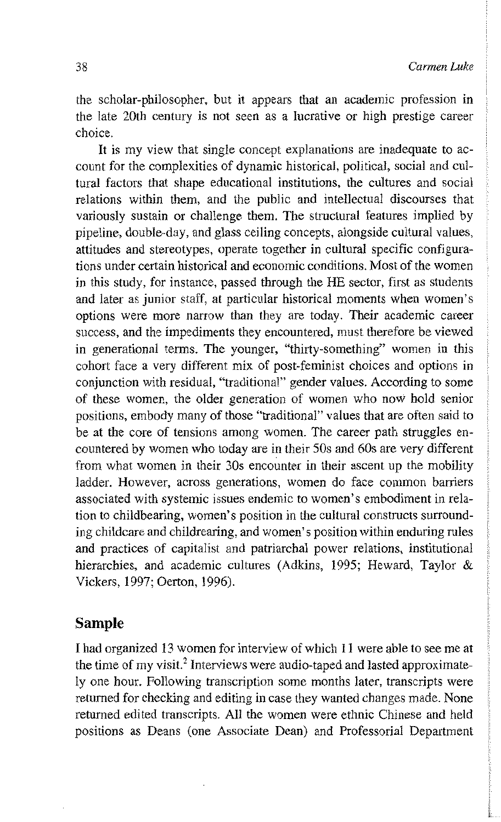the scholar-philosopher, but it appears that an academic profession in the late 20th century is not seen as a lucrative or high prestige career choice.

It is my view that single concept explanations are inadequate to account for the complexities of dynamic historical, political, social and cultural factors that shape educational institutions, the cultures and social relations within them, and the public and intellectual discourses that variously sustain or challenge them. The structural features implied by pipeline, double-day, and glass ceiling concepts, alongside cultural values, attitudes and stereotypes, operate together in cultural specific configurations under certain historical and economic conditions. Most of the women in this study, for instance, passed through the HE sector, first as students and later as junior staff, at particular historical moments when women's options were more narrow than they are today. Their academic career success, and the impediments they encountered, must therefore be viewed in generational terms. The younger, "thirty-something" women in this cohort face a very different mix of post-feminist choices and options in conjunction with residual, "traditional" gender values. According to some of these women, the older generation of women who now hold senior positions, embody many of those "traditional" values that are often said to be at the core of tensions among women. The career path struggles encountered by women who today are in their 50s and 60s are very different from what women in their 30s encounter in their ascent up the mobility ladder. However, across generations, women do face common barriers associated with systemic issues endemic to women's embodiment in relation to childbearing, women's position in the cultural constructs surrounding childcare and childrearing, and women's position within enduring rules and practices of capitalist and patriarchal power relations, institutional hierarchies, and academic cultures (Adkins, 1995; Heward, Taylor & Vickers, 1997; Oerton, 1996).

# **Sample**

I had organized 13 women for interview of which II were able to see me at the time of my visit.<sup>2</sup> Interviews were audio-taped and lasted approximately one hour. Following transcription some months later, transcripts were returned for checking and editing in case they wanted changes made. None returned edited transcripts. All the women were ethnic Chinese and held positions as Deans (one Associate Dean) and Professorial Department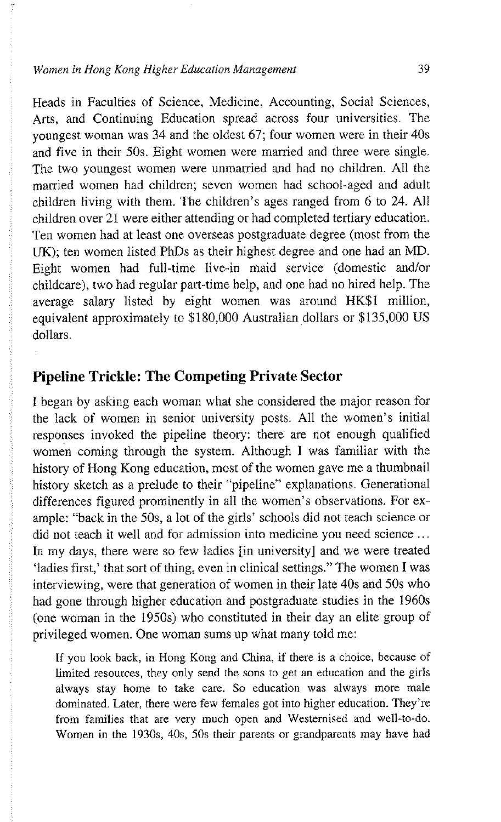#### *Women in Hong Kong Higher Education Management* 39

Heads in Faculties of Science, Medicine, Accounting, Social Sciences, Arts, and Continuing Education spread across four universities. The youngest woman was 34 and the oldest 67; four women were in their 40s and five in their 50s. Eight women were married and three were single. The two youngest women were unmarried and had no children. All the married women had children; seven women had school-aged and adult children living with them. The children's ages ranged from 6 to 24. All children over 21 were either attending or had completed tertiary education. Ten women had at least one overseas postgraduate degree (most from the UK); ten women listed PhDs as their highest degree and one had an MD. Eight women had full-time live-in maid service (domestic and/or childcare), two had regular part-time help, and one had no hired help. The average salary listed by eight women was around HK\$1 million, equivalent approximately to \$180,000 Australian dollars or \$135,000 US dollars.

# **Pipeline Trickle: The Competing Private Sector**

I began by asking each woman what she considered the major reason for the lack of women in senior university posts. All the women's initial responses invoked the pipeline theory: there are not enough qualified women coming through the system. Although I was familiar with the history of Hong Kong education, most of the women gave me a thumbnail history sketch as a prelude to their "pipeline" explanations. Generational differences figured prominently in all the women's observations. For example: "back in the 50s, a lot of the girls' schools did not teach science or did not teach it well and for admission into medicine you need science ... In my days, there were so few ladies [in university] and we were treated 'ladies first,' that sort of thing, even in clinical settings." The women I was interviewing, were that generation of women in their late 40s and 50s who had gone through higher education and postgraduate studies in the 1960s (one woman in the 1950s) who constituted in their day an elite group of privileged women. One woman sums up what many told me:

If you look back, in Hong Kong and China, if there is a choice, because of **limited resources, they only send the sons to get an education and the girls always stay home to take care. So education was always more male dominated. Later, there were few females got into higher education. They're from families that are very much open and Westernised and well-to-do.**  Women in the 1930s, 40s, 50s their parents or grandparents may have had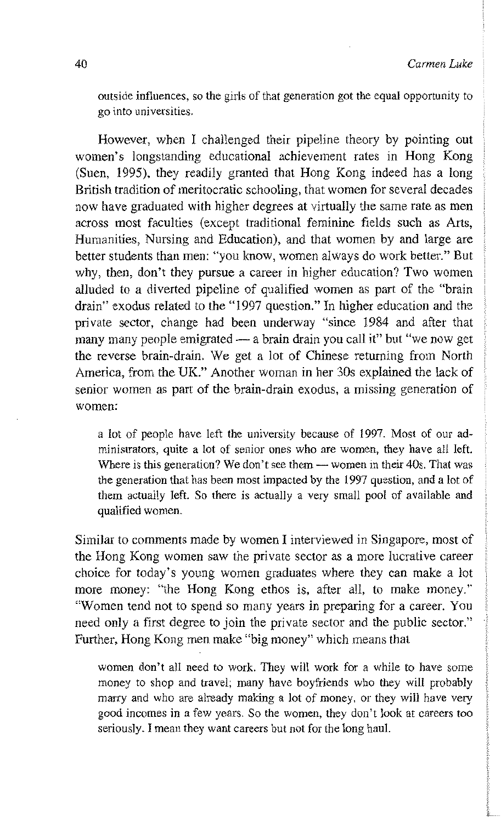L

**outside influences, so the girls of that generation got the equal opportunity to go into universities.** 

However, when I challenged their pipeline theory by pointing out women's longstanding educational achievement rates in Hong Kong (Suen, 1995), they readily granted that Hong Kong indeed has a long British tradition of meritoeratic schooling, that women for several decades now have graduated with higher degrees at virtually the same rate as men across most faculties (except traditional feminine fields such as Arts, Humanities, Nursing and Education), and that women by and large are better students than men: "you know, women always do work better." But why, then, don't they pursue a career in higher education? Two women alluded to a diverted pipeline of qualified women as part of the "brain drain" exodus related to the "1997 question." In higher education and the private sector, change had been underway "since 1984 and after that many many people emigrated  $-$  a brain drain you call it" but "we now get the reverse brain-drain. We get a lot of Chinese returning from North America, from the UK." Another woman in her 30s explained the lack of senior women as part of the brain-drain exodus, a missing generation of **women:** 

a lot of people have left the university because of 1997. Most of our ad**ministrators, quite a lot of senior ones who are women, they have all left. Where is this generation? We don't see them- women in their 40s. That was**  the generation that has been most impacted by the 1997 question, and a lot of them actually left. So there is actually a very small pool of available and **qualified women.** 

Similar to comments made by women I interviewed in Singapore, most of the Hong Kong women saw the private sector as a more lucrative career choice for today's young women graduates where they can make a lot more money: "the Hong Kong ethos is, after all, to make money." "Women tend not to spend so many years in preparing for a career. You need only a first degree to join the private sector and the public sector." Further, Hong Kong men make "big money" which means that

**women don't all need to work. They will work for a while to have some**  money to shop and travel; many have boyfriends who they will probably **marry and who are already making a lot of money, or they will have very good incomes in a few years. So the women, they don't look at careers too seriously. I mean they want careers but not for the long hauL**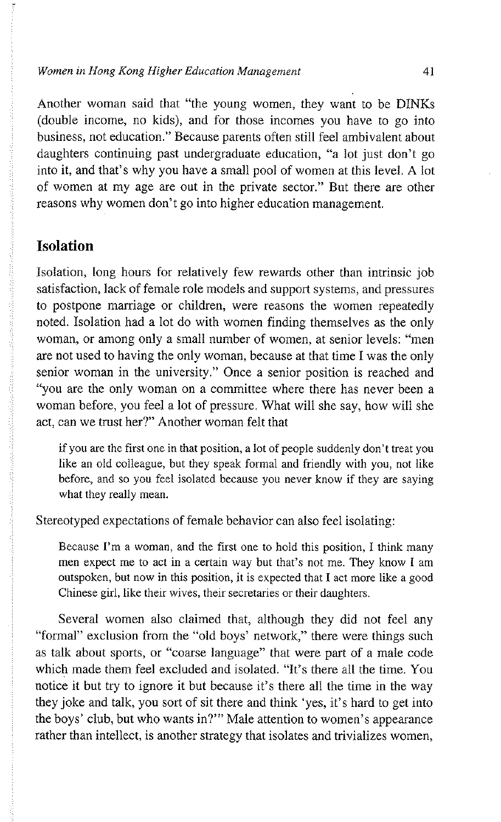Another woman said that "the young women, they want to be DINKs (double income, no kids), and for those incomes you have to go into business, not education." Because parents often still feel ambivalent about daughters continuing past undergraduate education, "a lot just don't go into it, and that's why you have a small pool of women at this level. A lot of women at my age are out in the private sector." But there are other reasons why women don't go into higher education management.

## **Isolation**

Isolation, long hours for relatively few rewards other than intrinsic job satisfaction, lack of female role models and support systems, and pressures to postpone marriage or children, were reasons the women repeatedly noted. Isolation had a lot do with women finding themselves as the only woman, or among only a small number of women, at senior levels: "men are not used to having the only woman, because at that time I was the only senior woman in the university." Once a senior position is reached and "you are the only woman on a committee where there has never been a woman before, you feel a lot of pressure. What will she say, how will she act, can we trust her?" Another woman felt that

**if you are the first one in that position, a lot of people suddenly don't treat you**  like an old colleague, but they speak formal and friendly with you, not like **before, and so you feel isolated because you never know if they are saying**  what they really mean.

Stereotyped expectations of female behavior can also feel isolating:

**Because I'm a woman, and the first one to hold this position, I think many men expect me to act in a certain way but that's not me. They know I am outspoken, but now in this position, it is expected that I act more like a good Chinese girl, like their wives, their secretaries or their daughters.** 

Several women also claimed that, although they did not feel any "formal" exclusion from the "old boys' network," there were things such as talk about sports, or "coarse language" that were part of a male code which made them feel excluded and isolated. "It's there all the time. You notice it but try to ignore it but because it's there all the time in the way they joke and talk, you sort of sit there and think 'yes, it's hard to get into the boys' club, but who wants in?'" Male attention to women's appearance rather than intellect, is another strategy that isolates and trivializes women,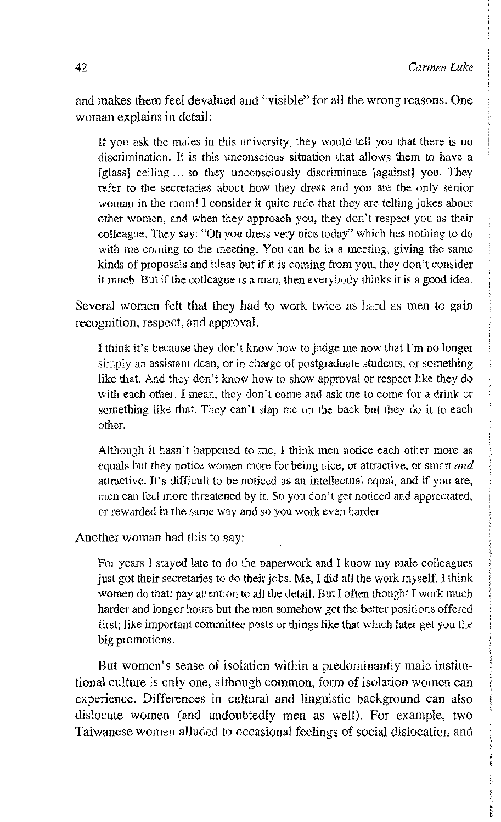and makes them feel devalued and "visible" for all the wrong reasons. One woman explains in detail:

If you ask the males in this university, they would tell you that there is no discrimination. It is this unconscious situation that allows them to have a [glass] ceiling ... so they unconsciously discriminate [against] you. They refer to the secretaries about how they dress and you are the only senior woman in the room! I consider it quite rude that they are telling jokes about other women, and when they approach you, they don't respect you as their colleague. They say: "Oh you dress very nice today" which has nothing to do with me coming to the meeting. You can be in a meeting, giving the same kinds of proposals and ideas but if it is coming from you, they don't consider it much. But if the colleague is a man, then everybody thinks it is a good idea.

Several women felt that they had to work twice as hard as men to gain recognition, respect, and approval.

I think it's because they don't know how to judge me now that I'm no longer simply an assistant dean, or in charge of postgraduate students, or something like that. And they don't know how to show approval or respect like they do with each other. I mean, they don't come and ask me to come for a drink or something like that. They can't slap me on the back but they do it to each other.

Although it hasn't happened to me, I think men notice each other more as equals but they notice women more for being nice, or attractive, or smart *and*  attractive. It's difficult to be noticed as an intellectual equal, and if you are, men can feel more threatened by it. So you don't get noticed and appreciated, or rewarded in the same way and so you work even harder.

Another woman had this to say:

For years I stayed late to do the paperwork and I know my male colleagues just got their secretaries to do their jobs. Me, I did all the work myself. I think women do that: pay attention to all the detail. But I often thought I work much harder and longer hours but the men somehow get the better positions offered first; like important committee posts or things like that which later get you the big promotions.

But women's sense of isolation within a predominantly male institutional culture is only one, although common, form of isolation women can experience. Differences in cultural and linguistic background can also dislocate women (and undoubtedly men as well). For example, two Taiwanese women alluded to occasional feelings of social dislocation and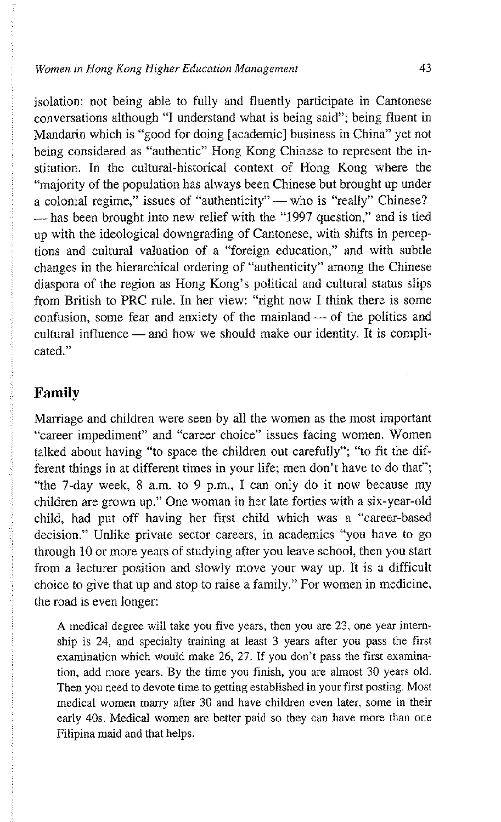isolation: not being able to fully and fluently participate in Cantonese conversations although "I understand what is being said"; being fluent in Mandarin which is "good for doing [academic] business in China" yet not being considered as "authentic" Hong Kong Chinese to represent the institution. In the cultural-historical context of Hong Kong where the "majority of the population has always been Chinese but brought up under a colonial regime," issues of "authenticity" — who is "really" Chinese? - has been brought into new relief with the "1997 question," and is tied up with the ideological downgrading of Cantonese, with shifts in perceptions and cultural valuation of a "foreign education," and with subtle changes in the hierarchical ordering of "authenticity" among the Chinese diaspora of the region as Hong Kong's political and cultural status slips from British to PRC rule. In her view: "right now I think there is some confusion, some fear and anxiety of the mainland  $-$  of the politics and cultural influence - and how we should make our identity. It is compli**cated."** 

# **Family**

Marriage and children were seen by all the women as the most important **"career impediment" and "career choice" issues facing women. Women**  talked about having "to space the children out carefully"; "to fit the different things in at different times in your life; men don't have to do that"; "the 7-day week, 8 a.m. to 9 p.m., I can only do it now because my children are grown up." One woman in her late forties with a six-year-old child, had put off having her first child which was a "career-based decision." Unlike private sector careers, in academics "you have to go through 10 or more years of studying after you leave school, then you start from a lecturer position and slowly move your way up. It is a difficult choice to give that up and stop to raise a family." For women in medicine, the road is even longer:

**A medical degree will take you five years, then you are 23, one year intern**ship is 24, and specialty training at least 3 years after you pass the first **examination which would make** 26, 27. **If you don't pass the first examination, add more years. By the time you finish, you are almost 30 years old. Then you need to devote time to getting established in your first posting. Most medical women marry after 30 and have children even later, some in their early 40s. Medical women are better paid so they can have more than one**  Filipina maid and that helps.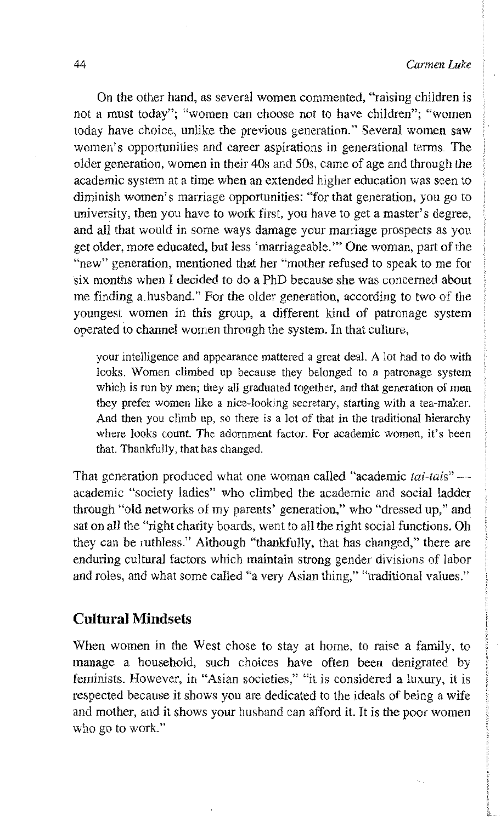#### 44 *Carmen Luke*

On the other hand, as several women commented, "raising children is **not a must today"; "women can choose not to have children"; "women**  today have choice, unlike the previous generation." Several women saw women's opportunities and career aspirations in generational terms. The older generation, women in their 40s and 50s, came of age and through the academic system at a time when an extended higher education was seen to diminish women's marriage opportunities: "for that generation, you go to university, then you have to work first, you have to get a master's degree, and all that would in some ways damage your marriage prospects as you get older, more educated, but less 'marriageable."' One woman, part of the "new" generation, mentioned that her "mother refused to speak to me for six months when I decided to do a PhD because she was concerned about me finding a.husband." For the older generation, according to two of the youngest women in this group, a different kind of patronage system operated to channel women through the system. In that culture,

**your intelHgence and appearance mattered a great deaL A lot had to do with looks. Women climbed up because they belonged to a patronage system**  which is run by men; they all graduated together, and that generation of men **they prefer women like a nice-looking secretary, starting with a tea-maker.**  And then you climb up, so there is a Jot of that in the traditional hierarchy **where looks count. The adornment factor. For academic women, it's been**  that. Thankfully, that has changed.

That generation produced what one woman called "academic *tai-tais*" academic "society ladies" who climbed the academic and social ladder through "old networks of my parents' generation," who "dressed up," and sat on all the "right charity boards, went to all the right social functions. Oh they can be ruthless." Although "thankfully, that has changed," there are enduring cultural factors which maintain strong gender divisions of labor and roles, and what some called "a very Asian thing," "traditional values."

## **Cultural Mindsets**

When women in the West chose to stay at home, to raise a family, to manage a household, such choices have often been denigrated by feminists. However, in "Asian societies," "it is considered a luxury, it is respected because it shows you are dedicated to the ideals of being a wife and mother, and it shows your husband can afford it. It is the poor women who go to work."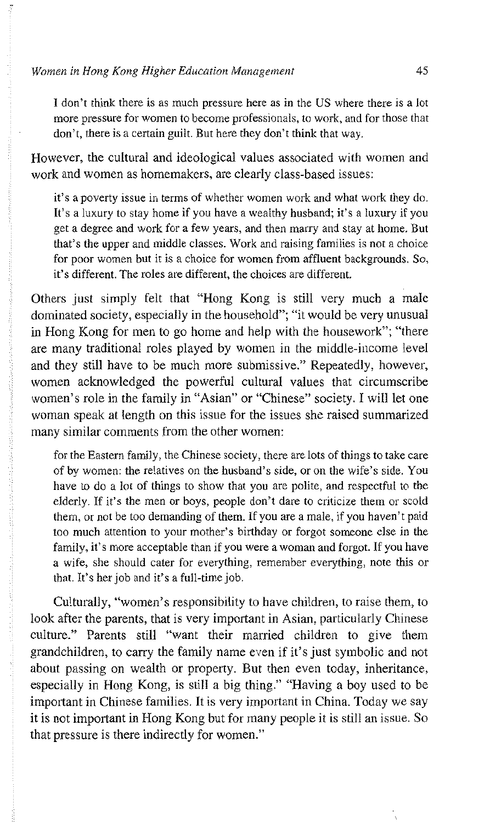**I don't think there is as much pressure here as in the US where there is a lot more pressure for women to become professionals, to work, and for those that**  don't, there is a certain guilt. But here they don't think that way.

However, the cultural and ideological values associated with women and work and women as homemakers, are clearly class-based issues:

**it's a poverty issue in terms of whether women work and what work they do.**  It's a luxury to stay home if you have a wealthy husband; it's a luxury if you **get a degree and work for a few years, and then marry and stay at home. But that's the upper and middle classes. Work and raising families is not a choice for poor women but it is a choice for women from affluent backgrounds. So, it's different. The roles are different, the choices are different.** 

Others just simply felt that "Hong Kong is still very much a male dominated society, especially in the household"; "it would be very unusual in Hong Kong for men to go home and help with the housework"; "there are many traditional roles played by women in the middle-income level and they still have to be much more submissive." Repeatedly, however, women acknowledged the powerful cultural values that circumscribe women's role in the family in "Asian" or "Chinese" society. I will let one woman speak at length on this issue for the issues she raised summarized many similar comments from the other women:

**for the Eastern family, the Chinese society, there are lots of things to take care of by women: the relatives on the husband's side, or on the wife's side. You**  have to do a lot of things to show that you are polite, and respectful to the **elderly. If it's the men or boys, people don't dare to criticize them or scold**  them, or not be too demanding of them. If you are a male, if you haven't paid **too much attention to your mother's birthday or forgot someone else in the family, it's more acceptable than if you were a woman and forgot. If you have a wife, she should cater for everything, remember everything, note this or**  that. It's her job and it's a full-time job.

Culturally, "women's responsibility to have children, to raise them, to look after the parents, that is very important in Asian, particularly Chinese culture." Parents still "want their married children to give them grandchildren, to carry the family name even if it's just symbolic and not about passing on wealth or property. But then even today, inheritance, especially in Hong Kong, is still a big thing." "Having a boy used to be important in Chinese families. It is very important in China. Today we say it is not important in Hong Kong but for many people it is still an issue. So that pressure is there indirectly for women."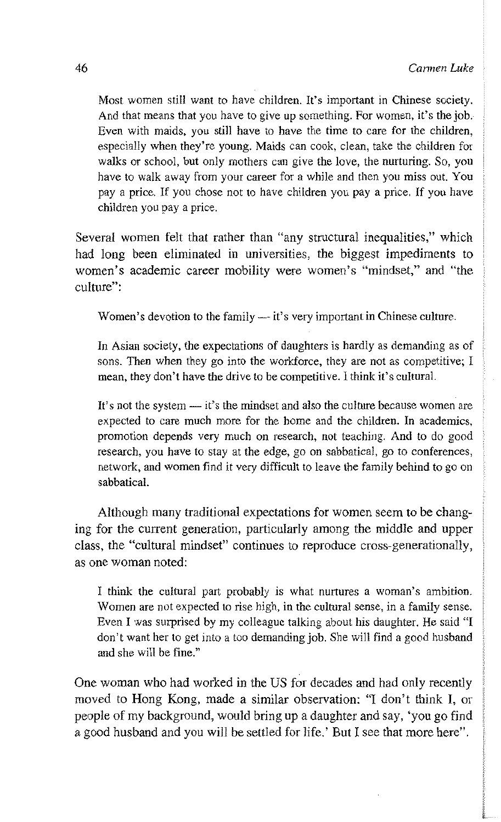i

Most women still want to have children. It's important in Chinese society. And that means that you have to give up something. For women, it's the job. Even with maids, you still have to have the time to care for the children, especially when they're young. Maids can cook, clean, take the children for walks or school, but only mothers can give the love, the nurturing. So, you have to walk away from your career for a while and then you miss out. You pay a price. If you chose not to have children you pay a price. If you have children you pay a price.

Several women felt that rather than "any structural inequalities," which had long been eliminated in universities, the biggest impediments to women's academic career mobility were women's "mindset," and "the culture":

Women's devotion to the family — it's very important in Chinese culture.

In Asian society, the expectations of daughters is hardly as demanding as of sons. Then when they go into the workforce, they are not as competitive; I mean, they don't have the drive to be competitive. I think it's cultural.

It's not the system — it's the mindset and also the culture because women are expected to care much more for the home and the children. In academics, promotion depends very much on research, not teaching. And to do good research, you have to stay at the edge, go on sabbatical, go to conferences, network, and women find it very difficult to leave the family behind to go on sabbatical.

Although many traditional expectations for women seem to be changing for the current generation, particularly among the middle and upper class, the "cultural mindset" continues to reproduce cross-generationally, as one woman noted:

I think the cultural part probably is what nurtures a woman's ambition. Women are not expected to rise high, in the cultural sense, in a family sense. Even I was surprised by my colleague talking about his daughter. He said "I don't want her to get into a too demanding job. She will find a good husband and she will be fine."

One woman who had worked in the US for decades and had only recently moved to Hong Kong, made a similar observation: "I don't think I, or people of my background, would bring up a daughter and say, 'you go find a good husband and you will be settled for life.' But I see that more here".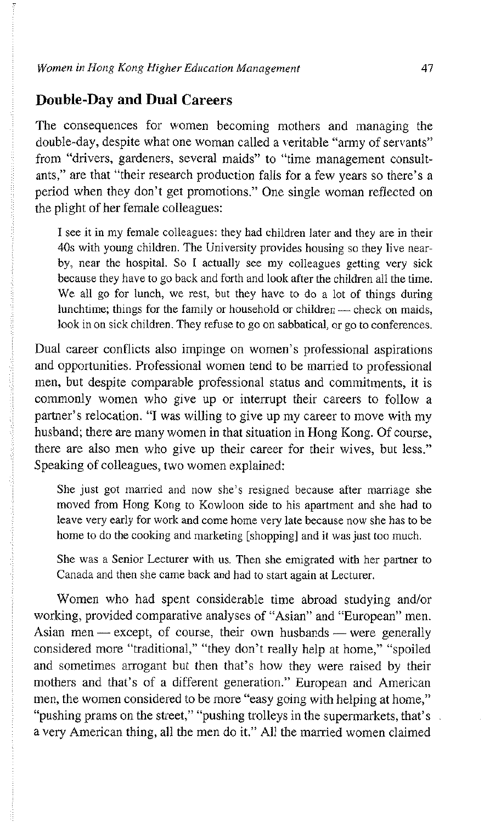## **Double-Day and Dual Careers**

The consequences for women becoming mothers and managing the double-day, despite what one woman called a veritable "army of servants" from "drivers, gardeners, several maids" to "time management consultants," are that "their research production falls for a few years so there's a period when they don't get promotions." One single woman reflected on the plight of her female colleagues:

**I see it in my female colleagues: they had children later and they are in their 40s with young children. The University provides housing so they live near**by, near the hospital. So I actually see my colleagues getting very sick because they have to go back and forth and look after the children all the time. **We all go for lunch, we rest, but they have to do a lot of things during**  lunchtime; things for the family or household or children — check on maids, **look in on sick children. They refuse to go on sabbatical, or go to conferences.** 

Dual career conflicts also impinge on women's professional aspirations and opportunities. Professional women tend to be married to professional men, but despite comparable professional status and commitments, it is commonly women who give up or interrupt their careers to follow a partner's relocation. "I was willing to give up my career to move with my husband; there are many women in that situation in Hong Kong. Of course, there are also men who give up their career for their wives, but less." Speaking of colleagues, two women explained:

**She just got married and now she's resigned because after marriage she moved from Hong Kong to Kowloon side to his apartment and she had to leave very early for work and come home very late because now she has to be**  home to do the cooking and marketing [shopping] and it was just too much.

**She was a Senior Lecturer with us. Then she emigrated with her partner to**  Canada and then she came back and had to start again at Lecturer.

Women who had spent considerable time abroad studying and/or working, provided comparative analyses of "Asian" and "European" men. Asian men- except, of course, their own husbands- were generally considered more "traditional," "they don't really help at home," "spoiled and sometimes arrogant but then that's how they were raised by their mothers and that's of a different generation." European and American men, the women considered to be more "easy going with helping at home," "pushing prams on the street," "pushing trolleys in the supermarkets, that's a very American thing, all the men do it." All the married women claimed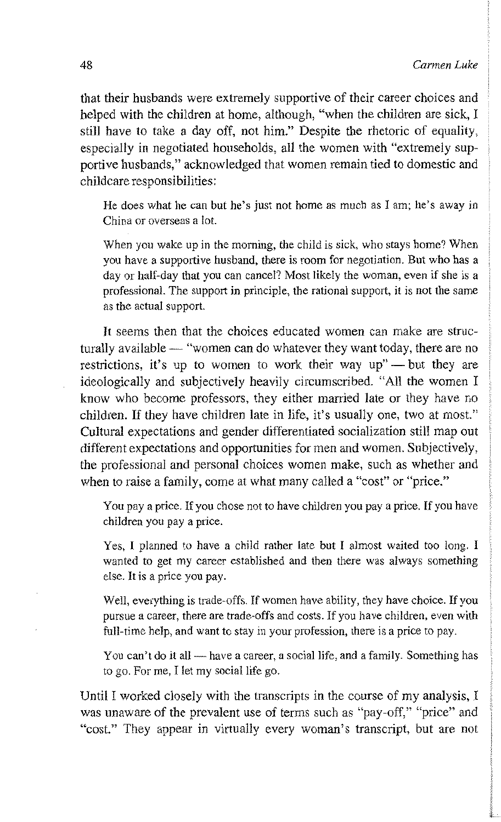that their husbands were extremely supportive of their career choices and helped with the children at home, although, "when the children are sick, I still have to take a day off, not him." Despite the rhetoric of equality, especially in negotiated households, all the women with "extremely supportive husbands," acknowledged that women remain tied to domestic and childcare responsibilities:

**He does what he can but he's just not home as much as I am; he's away in China or overseas a lot.** 

**When you wake up in the morning, the child is sick, who stays home? When you have a supportive husband, there is room for negotiation. But who has a**  day or half-day that you can cancel? Most likely the woman, even if she is a **professional. The support in principle, the rational support, it is not the same as the actual support.** 

It seems then that the choices educated women can make are structurally available — "women can do whatever they want today, there are no restrictions, it's up to women to work their way  $up$ <sup>"</sup> — but they are ideologically and subjectively heavily circumscribed. "All the women I know who become professors, they either married late or they have no children. If they have children late in life, it's usually one, two at most." Cultural expectations and gender differentiated socialization still map out different expectations and opportunities for men and women. Subjectively, the professional and personal choices women make, such as whether and when to raise a family, come at what many called a "cost" or "price."

**You pay a price. If you chose not to have children you pay a price. If you have children you pay a price.** 

Yes, I planned to have a child rather late but I almost waited too long. I **wanted to get my career established and then there was always something else. It is a price you pay.** 

Well, everything is trade-offs. If women have ability, they have choice. If you **pursue a career, there are trade-offs and costs. If you have children, even with full-time help, and want to stay in your profession, there is a price to pay.** 

**You can't do it all- have a career, a social life, and a family. Something has**  to go. For me, I let my social life go.

Until I worked closely with the transcripts in the course of my analysis, I was unaware of the prevalent use of terms such as "pay-off," "price" and "cost." They appear in virtually every woman's transcript, but are not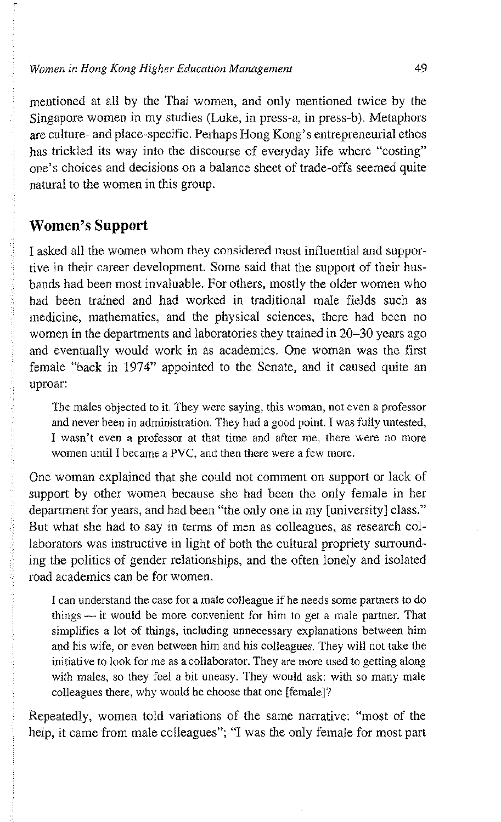mentioned at all by the Thai women, and only mentioned twice by the Singapore women in my studies (Luke, in press-a, in press-b). Metaphors are culture- and place-specific. Perhaps Hong Kong's entrepreneurial ethos has trickled its way into the discourse of everyday life where "costing" one's choices and decisions on a balance sheet of trade-offs seemed quite natural to the women in this group.

# **Women's Support**

I asked all the women whom they considered most int1uential and supportive in their career development. Some said that the support of their husbands had been most invaluable. For others, mostly the older women who had been trained and had worked in traditional male fields such as medicine, mathematics, and the physical sciences, there had been no women in the departments and laboratories they trained in 20-30 years ago and eventually would work in as academics. One woman was the first female "back in 1974" appointed to the Senate, and it caused quite an uproar:

**The males objected to it. They were saying, this woman, not even a professor and never been in administration. They had a good point. I was fully untested, I wasn't even a professor at that time and after me, there were no more women until I became a PVC, and then there were a few more.** 

One woman explained that she could not comment on support or lack of support by other women because she had been the only female in her department for years, and had been "the only one in my [university] class." But what she had to say in terms of men as colleagues, as research collaborators was instructive in light of both the cultural propriety surrounding the politics of gender relationships, and the often lonely and isolated road academics can be for women.

**I can understand the case for a male colleague if he needs some partners to do things- it would be more convenient for him to get a male partner. That simplifies a lot of things, including unnecessary explanations between him and his wife, or even between him and his colleagues. They will not take the initiative to look for me as a collaborator. They are more used to getting along**  with males, so they feel a bit uneasy. They would ask: with so many male colleagues there, why would he choose that one [female]?

Repeatedly, women told variations of the same narrative: "most of the help, it came from male colleagues"; "I was the only female for most part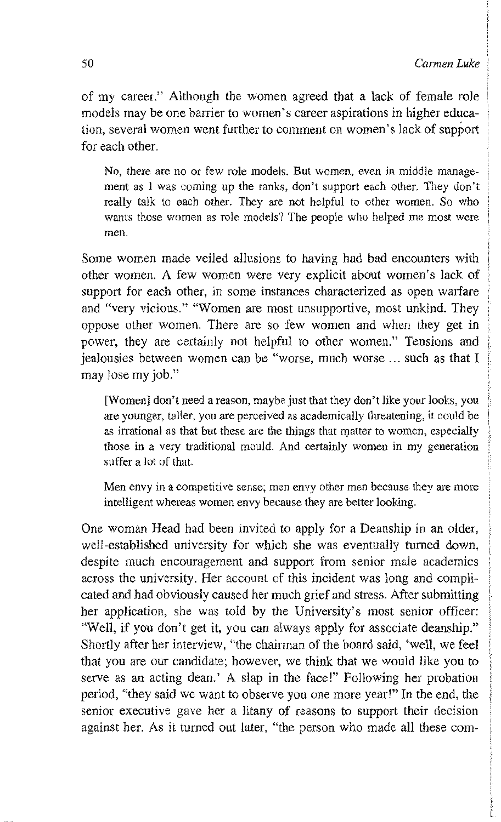of my career." Although the women agreed that a lack of female role models may be one barrier to women's career aspirations in higher education, several women went further to comment on women's lack of support for each other.

**No, there are no or few role models. But women, even in middle** manage~ **ment** as I **was coming up the ranks, don't support each other. They don't**  really talk to each other. They are not helpful to other women. So who **wants those women as role models? The people who helped me most were men.** 

Some women made veiled allusions to having had bad encounters with other women. A few women were very explicit about women's lack of support for each other, in some instances characterized as open warfare and "very vicious." "Women are most unsupportive, most unkind. They oppose other women. There are so few women and when they get in power, they are certainly not helpful to other women." Tensions and jealousies between women can be "worse, much worse ... such as that I may lose my job."

[Women] don't need a reason, maybe just that they don't like your looks, you **are younger, taller, you are perceived as academically threatening, it could be as irrational as that but these are the things that matter to women, especia11y those in a very traditional mould. And certainly women in my generation**  suffer a lot of that.

**Men envy in a competitive sense; men envy other men because they are more intelligent whereas women envy because they are better looking.** 

One woman Head had been invited to apply for a Deanship in an older, well-established university for which she was eventually turned down, despite much encouragement and support from senior male academics across the university. Her account of this incident was long and complicated and had obviously caused her much grief and stress. After submitting her application, she was told by the University's most senior officer: "Well, if you don't get it, you can always apply for associate deanship." Shortly after her interview, "the chairman of the board said, 'well, we feel that you are our candidate; however, we think that we would like you to serve as an acting dean.' A slap in the face!" Following her probation period, "they said we want to observe you one more year!" In the end, the senior executive gave her a litany of reasons to support their decision against her. As it turned out later, "the person who made all these com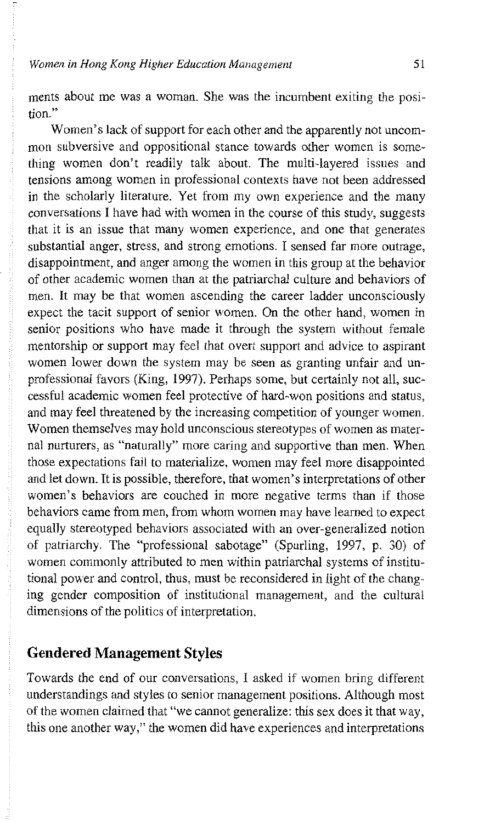ments about me was a woman. She was the incumbent exiting the posi**tion."** 

Women's lack of support for each other and the apparently not uncommon subversive and oppositional stance towards other women is something women don't readily talk about. The multi-layered issues and tensions among women in professional contexts have not been addressed in the scholarly literature. Yet from my own experience and the many conversations I have had with women in the course of this study, suggests that it is an issue that many women experience, and one that generates substantial anger, stress, and strong emotions. I sensed far more outrage, disappointment, and anger among the women in this group at the behavior of other academic women than at the patriarchal culture and behaviors of men. It may be that women ascending the career ladder unconsciously expect the tacit support of senior women. On the other hand, women in senior positions who have made it through the system without female mentorship or support may feel that overt support and advice to aspirant women lower down the system may be seen as granting unfair and unprofessional favors (King, 1997). Perhaps some, but certainly not all, successful academic women feel protective of hard-won positions and status, and may feel threatened by the increasing competition of younger women. Women themselves may hold unconscious stereotypes of women as maternal nurturers, as "naturally" more caring and supportive than men. When those expectations fail to materialize, women may feel more disappointed and let down. It is possible, therefore, that women's interpretations of other women's behaviors are couched in more negative terms than if those behaviors came from men, from whom women may have learned to expect equally stereotyped behaviors associated with an over-generalized notion of patriarchy. The "professional sabotage" (Spurling, 1997, p. 30) of women commonly attributed to men within patriarchal systems of institutional power and control, thus, must be reconsidered in light of the changing gender composition of institutional management, and the cultural dimensions of the politics of interpretation.

# **Gendered Management Styles**

Towards the end of our conversations, I asked if women bring different understandings and styles to senior management positions. Although most of the women claimed that "we cannot generalize: this sex does it that way, this one another way," the women did have experiences and interpretations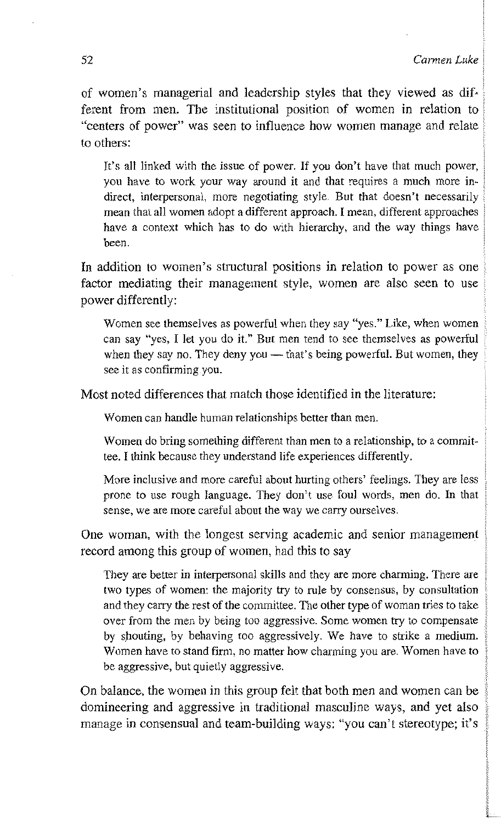## 52 *Carmen Luke*

of women's managerial and leadership styles that they viewed as dif· ferent from men. The institutional position of women in relation to "centers of power" was seen to influence how women manage and relate to others:

It's all linked with the issue of power. If you don't have that much power, you have to work your way around it and that requires a much more indirect, interpersonal, more negotiating style. But that doesn't necessarily mean that all women adopt a different approach. I mean, different approaches have a context which has to do with hierarchy, and the way things have been.

In addition to women's structural positions in relation to power as one factor mediating their management style, women are also seen to use power differently:

Women see themselves as powerful when they say "yes." Like, when women can say "yes, I let you do it." But men tend to see themselves as powerful when they say no. They deny you — that's being powerful. But women, they see it as confirming you.

Most noted differences that match those identified in the literature:

Women can handle human relationships better than men.

Women do bring something different than men to a relationship, to a committee. I think because they understand life experiences differently.

More inclusive and more careful about hurting others' feelings. They are less prone to use rough language. They don't use foul words, men do. In that sense, we are more careful about the way we carry ourselves.

One woman, with the longest serving academic and senior management record among this group of women, had this to say

They are better in interpersonal skills and they are more charming. There are two types of women: the majority try to rule by consensus, by consultation and they carry the rest of the committee. The other type of woman tries to take over from the men by being too aggressive. Some women try to compensate by shouting, by behaving too aggressively. We have to strike a medium. Women have to stand firm, no matter how charming you are. Women have to be aggressive, but quietly aggressive.

On balance, the women in this group felt that both men and women can be domineering and aggressive in traditional masculine ways, and yet also manage in consensual and team-building ways: "you can't stereotype; it's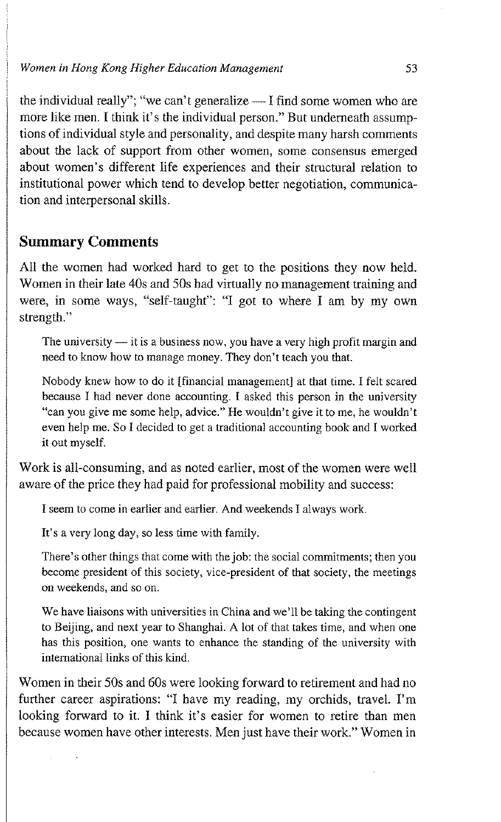the individual really"; "we can't generalize  $-1$  find some women who are more like men. I think it's the individual person." But underneath assumptions of individual style and personality, and despite many harsh comments about the lack of support from other women, some consensus emerged about women's different life experiences and their structural relation to institutional power which tend to develop better negotiation, communication and interpersonal skills.

# **Summary Comments**

All the women had worked hard to get to the positions they now held. Women in their late 40s and 50s had virtually no management training and were, in some ways, "self-taught": "I got to where I am by my own strength."

The university — it is a business now, you have a very high profit margin and **need to know how to manage money. They don't teach you that.** 

Nobody knew how to do it [financial management] at that time. I felt scared **because I had never done accounting. I asked this person in the university "can you give me some help, advice." He wouldn't give it to me, he wouldn't**  even help me. So I decided to get a traditional accounting book and I worked it out myself.

Work is all-consuming, and as noted earlier, most of the women were well aware of the price they had paid for professional mobility and success:

**I seem to come in earlier and earlier. And weekends I always work.** 

It's a very long day, so less time with family.

**There's other things that come with the job: the social commitments; then you become president of this society, vice-president of that society, the meetings on weekends, and so on.** 

**We have liaisons with universities in China and we'll be taking the contingent to Beijing, and next year to Shanghai. A lot of that takes time, and when one has this position, one wants to enhance the standing of the university with**  international links of this kind.

Women in their 50s and 60s were looking forward to retirement and had no further career aspirations: "I have my reading, my orchids, travel. I'm looking forward to it. I think it's easier for women to retire than men because women have other interests. Men just have their work." Women in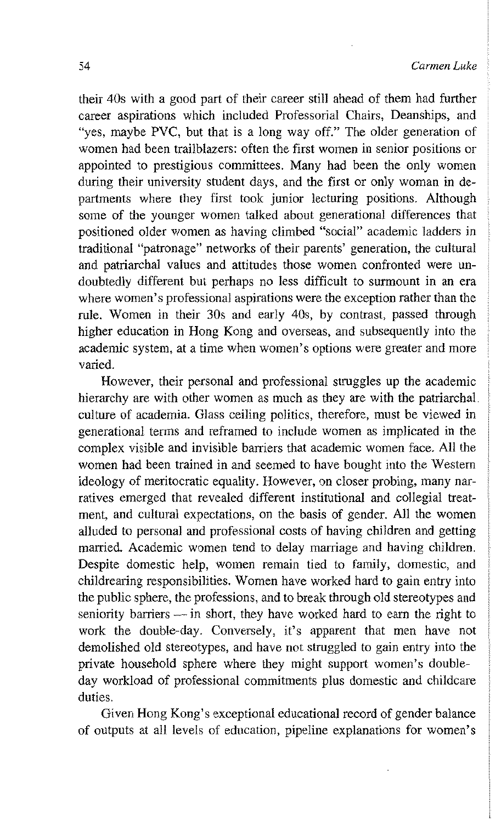their 40s with a good part of their career still ahead of them had further career aspirations which included Professorial Chairs, Deanships, and "yes, maybe PVC, but that is a long way off." The older generation of women had been trailblazers: often the first women in senior positions or appointed to prestigious committees. Many had been the only women during their university student days, and the first or only woman in departments where they first took junior lecturing positions. Although some of the younger women talked about generational differences that positioned older women as having climbed "social" academic ladders in traditional "patronage" networks of their parents' generation, the cultural and patriarchal values and attitudes those women confronted were undoubtedly different but perhaps no less difficult to surmount in an era where women's professional aspirations were the exception rather than the rule. Women in their 30s and early 40s, by contrast, passed through higher education in Hong Kong and overseas, and subsequently into the academic system, at a time when women's options were greater and more varied.

However, their personal and professional struggles up the academic hierarchy are with other women as much as they are with the patriarchal culture of academia. Glass ceiling politics, therefore, must be viewed in generational terms and reframed to include women as implicated in the complex visible and invisible barriers that academic women face. All the women had been trained in and seemed to have bought into the Western ideology of meritocratic equality. However, on closer probing, many narratives emerged that revealed different institutional and collegial treatment, and cultural expectations, on the basis of gender. All the women alluded to personal and professional costs of having children and getting married. Academic women tend to delay marriage and having children. Despite domestic help, women remain tied to family, domestic, and childrearing responsibilities. Women have worked hard to gain entry into the public sphere, the professions, and to break through old stereotypes and seniority barriers  $-$  in short, they have worked hard to earn the right to work the double-day. Conversely, it's apparent that men have not demolished old stereotypes, and have not struggled to gain entry into the private household sphere where they might support women's doubleday workload of professional commitments plus domestic and childcare duties.

Given Hong Kong's exceptional educational record of gender balance of outputs at all levels of education, pipeline explanations for women's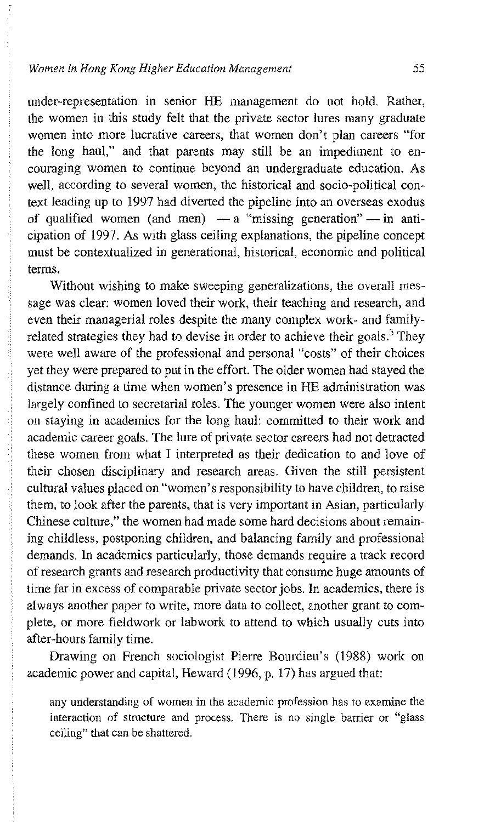#### *Women in Hong Kong Higher Education Management* 55

under-representation in senior HE management do not hold. Rather, the women in this study felt that the private sector lures many graduate women into more lucrative careers, that women don't plan careers "for the long haul," and that parents may still be an impediment to encouraging women to continue beyond an undergraduate education. As well, according to several women, the historical and socio-political context leading up to 1997 had diverted the pipeline into an overseas exodus of qualified women (and men)  $-a$  "missing generation" - in anticipation of 1997. As wilh glass ceiling explanations, the pipeline concept must be contextualized in generational, historical, economic and political terms.

Without wishing to make sweeping generalizations, the overall message was clear: women loved their work, their teaching and research, and even their managerial roles despite the many complex work- and familyrelated strategies they had to devise in order to achieve their goals.<sup>3</sup> They were well aware of the professional and personal "costs" of their choices yet they were prepared to put in the effort. The older women had stayed the distance during a time when women's presence in HE administration was largely confined to secretarial roles. The younger women were also intent on staying in academics for the long haul: committed to their work and academic career goals. The lure of private sector careers had not detracted these women from what I interpreted as their dedication to and love of their chosen disciplinary and research areas. Given the still persistent cultural values placed on "women's responsibility to have children, to raise them, to look after the parents, that is very important in Asian, particularly Chinese culture," the women had made some hard decisions about remaining childless, postponing children, and balancing family and professional demands. In academics particularly, those demands require a track record of research grants and research productivity that consume huge amounts of time far in excess of comparable private sector jobs. In academics, there is always another paper to write, more data to collect, another grant to complete, or more fieldwork or labwork to attend to which usually cuts into after-hours family time.

Drawing on French sociologist Pierre Bourdieu's (1988) work on academic power and capital, Heward (1996, p. 17) has argued that:

**any understanding of women in the academic profession has to examine the interaction of structure and process. There is no single barrier or "glass**  ceiling" that can be shattered.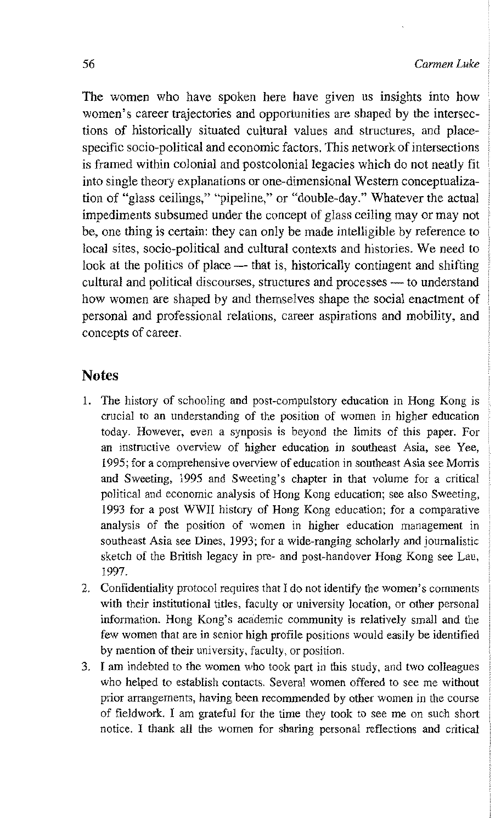The women who have spoken here have given us insights into how women's career trajectories and opportunities are shaped by the intersections of historically situated cultural values and structures, and placespecific socio-political and economic factors. This network of intersections is framed within colonial and postcolonial legacies which do not neatly fit into single theory explanations or one-dimensional Westem conceptualization of "glass ceilings," "pipeline," or "double-day." Whatever the actual impediments subsumed under the concept of glass ceiling may or may not be, one thing is certain: they can only be made intelligible by reference to local sites, socio-political and cultural contexts and histories. We need to look at the politics of place — that is, historically contingent and shifting cultural and political discourses, structures and processes - to understand how women are shaped by and themselves shape the social enactment of personal and professional relations, career aspirations and mobility, and concepts of career.

## Notes

- I. The history of schooling and post-compulstory education in Hong Kong is crucial to an understanding of the position of women in higher education today. However, even a synposis is beyond the limits of this paper. For an instructive overview of higher education in southeast Asia, see Yee, 1995; for a comprehensive overview of education in southeast Asia see Morris and Sweeting, 1995 and Sweeting's chapter in that volume for a critical political and economic analysis of Hong Kong education; see also Sweeting, 1993 for a post WWII history of Hong Kong education; for a comparative analysis of the position of women in higher education management in southeast Asia see Dines, 1993; for a wide-ranging scholarly and journalistic sketch of the British legacy in pre- and post-handover Hong Kong see Lau, 1997.
- 2. Confidentiality protocol requires that I do not identify the women's comments with their institutional titles, faculty or university location, or other personal information. Hong Kong's academic community is relatively small and the few women that are in senior high profile positions would easily be identified by mention of their university, faculty, or position.
- 3. I am indebted to the women who took part in this study, and two co11eagues who helped to establish contacts. Several women offered to see me without prior arrangements, having been recommended by other women in the course of fieldwork. I am grateful for the time they took to see me on such short notice. I thank all the women for sharing personal reflections and critical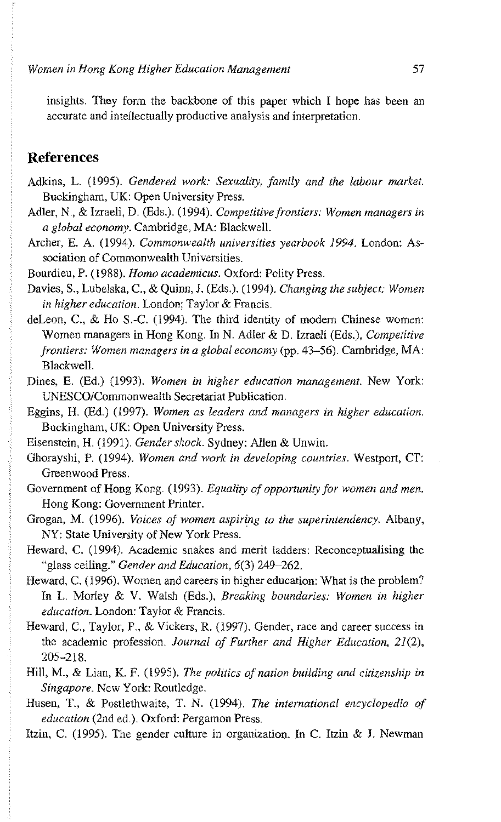insights. They form the backbone of this paper which I hope has been an **accurate and intellectually productive analysis and interpretation.** 

## **References**

- Adkins, L. (1995). *Gendered work: Sexuality, family and the labour market.*  Buckingham, UK: Open University Press.
- Adler, N., & Izraeli, D. (Eds.). (1994). *Competitive frontiers: Women managers in a global economy.* Cambridge, MA: Blackwell.
- Archer, E. A. (1994). *Commonwealth universities yearbook 1994.* London: As**sociation of Commonwealth Universities.**

Bourdieu, P. (1988). *Homo academicus.* Oxford: Polity Press.

- Davies, S., Lubelska, C., & Quinn, J. (Eds.). (1994). *Changing the subject: Women in higher education.* **London; Taylor & Francis.**
- deLeon, C., & Ho S.-C. (1994). The third identity of modern Chinese women: Women managers in Hong Kong. In N. Adler & D. Izraeli (Eds.), *Competitive frontiers: Women managers* in *a global economy* (pp. 43-56). Cambridge, MA: Blackwell.
- Dines, E. (Ed.) (1993). *Women* in *higher education management.* New York: UNESCO/Commonwealth Secretariat Publication.
- Eggins, H. (Ed.) (1997). *Women as leaders and managers in higher education.*  Buckingham, UK: Open University Press.
- Eisenstein, H. (1991). *Gender shock.* Sydney: Allen & Unwin.
- Ghorayshi, P. (1994). *Women and work in developing countries.* Westport, CT: **Greenwood Press.**
- Government of Hong Kong. (1993). *Equality of opportunity for women and men.*  **Hong Kong: Government Printer.**
- Grogan, M. (1996). *Voices of women aspiring to the superintendency.* Albany, NY: State University of New York Press.
- Heward, C. (1994). Academic snakes and merit ladders: Reconceptualising the "glass ceiling." *Gender and Education,* 6(3) 249-262.
- Heward, C. (1996). Women and careers in higher education: What is the problem? In L. Morley & V. Walsh (Eds.), *Breaking boundaries: Women* in *higher education.* **London: Taylor & Francis.**
- Heward, C., Taylor, P., & Vickers, R. (1997). Gender, race and career success in the academic profession. *Journal of Further and Higher Education*, 21(2), 205-218.
- Hill, M., & Lian, K. F. (1995). *The politics of nation building and citizenship in Singapore.* New York: Routledge.
- Husen, T., & Postlethwaite, T. N. (1994). *The international encyclopedia of education* (2nd ed.). Oxford: Pergamon Press.
- Itzin, C. (1995). The gender culture in organization. In C. Itzin & J. Newman